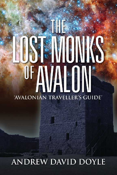# VONS NALON OF 'AVALONIAN TRAVELLER'S GUIDE'

**ANDREW DAVID DOYLE**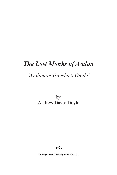# *The Lost Monks of Avalon*

## *'Avalonian Traveler's Guide'*

by Andrew David Doyle



Strategic Book Publishing and Rights Co.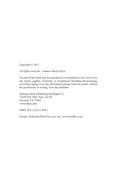Copyright © 2011

All rights reserved—Andrew David Doyle

No part of this book may be reproduced or transmitted in any form or by any means, graphic, electronic, or mechanical, including photocopying, recording, taping, or by any information storage retrieval system, without the permission, in writing, from the publisher.

Strategic Book Publishing and Rights Co. 12620 FM 1960, Suite A4-507 Houston, TX 77065 www.sbpra.com

ISBN: 978-1-62212-694-1

Design: Dedicated Book Services, Inc. (www.netdbs.com)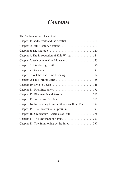# *Contents*

| The Avalonian Traveler's Guide                           |
|----------------------------------------------------------|
|                                                          |
|                                                          |
|                                                          |
| Chapter 4: The Introduction of Kyle Wishart 44           |
| Chapter 5: Welcome to Kinn Monastery 55                  |
|                                                          |
|                                                          |
| Chapter 8: Witches and Time Freezing 112                 |
|                                                          |
|                                                          |
|                                                          |
|                                                          |
|                                                          |
| Chapter 14: Introducing Admiral Skunkernell the Third182 |
| Chapter 15: The Electronic Scriptorium 199               |
| Chapter 16: Credendum—Articles of Faith226               |
|                                                          |
| Chapter 18: The Summoning by the Fates237                |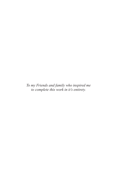*To my Friends and family who inspired me to complete this work in it's entirety.*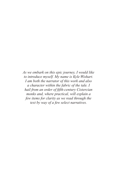*As we embark on this epic journey, I would like to introduce myself. My name is Kyle Wishart. I am both the narrator of this work and also a character within the fabric of the tale. I hail from an order of fifth-century Cistercian monks and, where practical, will explain a few items for clarity as we read through the text by way of a few select narratives.*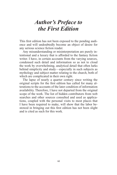# *Author's Preface to the First Edition*

This first edition has not been exposed to the pending audience and will undoubtedly become an object of desire for any serious science fiction reader.

Any misunderstanding or misinterpretation are purely intentional and a luxury that is afforded to the fantasy fiction writer. I have, in certain accounts from the varying sources, condensed such detail and information so as not to cloud the work by overwhelming, analytical detail that often lurks behind simplicity and study—especially in such subjects as mythology and subject matter relating to the church, both of which are complicated in their own right.

The lapse of nearly a quarter century since writing the original scripts for the first edition has called for many alterations to the accounts of the later condition of information availability. Therefore, I have not departed from the original scope of the work. The list of hidden contributors from web searches and other sources consulted and used as applications, coupled with the personal visits to most places that I have been required to make, will show that the labor bestowed in bringing out this first edition has not been slight and is cited as such for this work.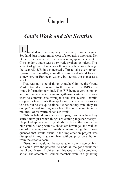# **Chapter 1**

### *God's Work and the Scottish*

ocated on the periphery of a small, rural village in Scotland, just twenty miles west of a township known as Dei Donum, the new world order was waking up to the advent of Christendom, and it was a very rude awakening indeed. This advent of global change was thundering headlong through the year AD 555, in a concerted effort to take over humanity—not just on Alba, a small, insignificant island located somewhere in European waters, but across the planet as a whole.

That was not a good thing, thought Odmiin, the Grand Master Architect, gazing into the screen of the ISIS electronic information terminal. The ISIS being a very complex and comprehensive information gathering system that allows users to communicate throughout the star system. Odmiin coughed a few grunts then spoke out for anyone in earshot to hear, but he was quite alone. "What do they think they are doing?" he said, turning away from the console and taking a mouthful of his warm chocolate drink.

"Who is behind this madcap campaign, and why have they started now, just when things are coming together nicely?" He picked up the small crystal orb that lay in the bowl of the blue cradle, along with his chocolate beverage, and walked out of the scriptorium, quietly contemplating the consequences that would ensue if the implantation project was disrupted in any shape or form without prior consultation from the creative team.

Disruptions would not be acceptable in any shape or form and could have the potential to undo all the good work that the Grand Master Architect and his Council had completed so far. The assembled Council members were in a gathering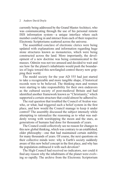### 2 Andrew David Doyle

currently being addressed by the Grand Master Architect, who was communicating through the use of his personal remote ISIS information system—a unique interface where each member could log in and interact from each of their respective Electronic Scriptoriums scattered across the universe.

The assembled conclave of electronic clerics were being updated with explanations and information regarding huge stone structures known as monasteries, which were being constructed across the land. More importantly, the development of a new doctrine was being communicated to the masses. Odmiin was not too amused and decided to wait and see how far the planet's inhabitants would push the boundaries of logic toward this newfangled control theory now gripping their world.

The model society for the year AD 555 had just started to take a recognizable and more tangible shape, if historical records were to be believed. The thinking men and women were starting to take responsibility for their own endeavors as the cultured society of post-medieval Britain and had identified another framework known as "Christianity," which supported a certain structure that could almost be adhered to.

The real question that troubled the Council of Avalon was: who, or what, had triggered such a belief system in the first place, and how would the Council manage to keep it under control? The assembly discussed the subject intensely while attempting to rationalize the reasoning as to what was suddenly wrong with worshipping the moon and the stars, as generations of humans had done for thousands of years.

The Council could collectively see no reason for changes to this new global thinking, which was contrary to an established, older philosophy—one that had maintained certain stability for many thousands of years. Of course, the next questions on their collective minds were: why is Earth's society suddenly aware of this new belief concept in the first place, and why has the population embraced it with such devotion?

The High Council had received no indicators, nor could it find any reason why the inhabitants of the planet were evolving so rapidly. The archive from the Electronic Scriptorium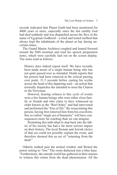records indicated that Planet Earth had been monitored for 4000 years or more, especially since the last earthly God had died suddenly and was dispatched across the Styx in the name of Egyptian Godhood—a tried and tested method that always kept the inhabitants of the planet at bay during uncertain times.

The Grand Master Architect coughed and leaned forward toward the ISIS terminal and read his speech preparation notes, which were carefully laid out on the screen display. The notes read as follows:

History does indeed repeat itself. We have recently been made aware of a single human being who has not quite passed over as intended. Death reports that his powers had been removed at the critical passing over point, 31.3 seconds before casting his scythe across the head of this departing soul—an action that normally dispatches the intended to meet the Charon or the Ferryman.

However, bearing witness to this cycle of events were a few human beings who were either close family or friends and who claim to have witnessed an order known as the "Red Order," and had intervened and performed the "kiss of life." By resuscitating this person, having first removed him from his cruciform, this so-called "single act of humanity" will have consequences more far reaching than we can imagine.

Permitting this individual to step back into the fabric of his society has had a far more serious impact on their history. The local Roman and Jewish clerics of that era could not possibly explain the event, and therefore deemed this an act of "returning from the dead."

Odmiin walked past the arched window and flicked the power setting to "low." The room darkened into a blue haze. "Furthermore, the outside world has gathered in their masses to witness this return from the dead phenomenon. All the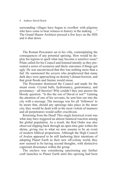#### 4 Andrew David Doyle

surrounding villages have begun to overflow with pilgrims who have come to bear witness to history in the making . . ." The Grand Master Architect pressed a few keys on the ISIS and it shut down.

The Roman Procurator sat in his villa, contemplating the consequences of any potential uprising. How would he deploy his legions to quell what may become a sensitive issue? Pilate called for his Council and listened intently as they presented a series of scenarios and likely outcomes if things got ugly. He was unconvinced that this was nothing more than a fad. He summoned the scryers who prophesized that many dark days were approaching on destiny's distant horizon, and that great floods and famine would ensue.

The Procurator dismissed the Council and made for the steam room. Crystal balls, hydromancy, gastromancy, and pyromancy—all theories! Why couldn't they just answer the bloody question: "Is this the son of David or not?" Gaining the attention of one of his servants, he sent him out into the city with a message. The message was for all 'followers' to be aware that, should any uprisings take place in the inner city, they would be dealt with in the most violent of manners and all perpetrators would suffer crucifixion.

Returning from the Dead! This single historical event was what may have triggered an almost fanatical reaction among the global population. As a result, the Red Order was also observed slipping back through an open time gate within the shrine, giving rise to what we now assume to be an event of modern biblical proportions. Although the High Council of Avalon appeared to be still harboring their intentions of adopting Planet Earth as their new off-colony world, they now seemed to be having second thoughts, with distinctive cognizant dissonance within the group.

The enclave was considering sanctioning any further craft launches to Planet Earth until this uprising had been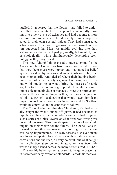quelled. It appeared that the Council had failed to anticipate that the inhabitants of the planet were rapidly moving into a new cycle of existence and had become a more cultured and socially structured society; almost sophisticated in their own societal ladder. They had constructed a framework of natural progression where normal indicators suggested that Man was rapidly evolving into their sixth-century status—not just physically, but mentally and psychologically—while simultaneously developing technology as they progressed.

This new "church" thing posed a huge dilemma for the Avalonian High Council for two reasons, one of which was that they themselves were human and maintained a belief system based on hypothesis and ancient folklore. They had been momentarily reminded of where their humble beginnings, as collective genotypes, may have originated. Secondly, this model belief would bring the masses of people together to form a common group, which would be almost impossible to manipulate or manage to meet their project objectives. To compound things further, there was the question of this "doctrine"—a doctrine that would have significant impact as to how society in sixth-century middle Scotland would be controlled in the centuries to follow.

The Council admitted that this Christianity fad had actually caught the wise Council off guard. It had occurred so rapidly, and they really had no idea about what had triggered such a series of biblical events or what force was driving this powerful doctrine. This unanticipated methodology could impact on their vision for the future. The Council was informed of how this new master plan, or dogma instruction, was being implemented. The ISIS screens displayed many graphs and templates, lots of metrics with variation schemes, correlations and the such, all very colorful, but what caught their collective attention and imagination was two little words as they flashed across the many screens: "NO DATA."

This earthly belief system appeared to be quite draconian in its framework by Avalonian standards. Part of this medieval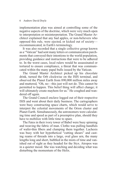### 6 Andrew David Doyle

implementation plan was aimed at controlling some of the negative aspects of the doctrine, which were very much open to interpretation or misinterpretation. The Grand Master Architect explained that any bad apples, or non-believers who opposed this rule, were ejected, or kicked out of society excommunicated, in Earth's terminology.

It was also recorded that a single collective group known as a "Vatican" had sent many letters or communication parchments that conveyed their intentions to the world population, providing guidance and instructions that were to be adhered to. In the worst cases, local rulers would be assassinated or tortured to ensure compliance, a threat that was communicated within the many papal bulls issued by the Vatican.

The Grand Master Architect picked up his chocolate drink, turned the Orb clockwise on the ISIS terminal, and observed the Planet Earth from 890,000 million miles away and muttered, "Oh, no—this just will not do. This cannot be permitted to happen. This belief thing will affect change; it will ultimately create mayhem for us." He coughed and wandered off again.

The Grand Council enclave logged out of their respective ISIS and went about their daily business. The cartographers were busy constructing space charts, which would serve to interpret the celestial movements of the Orion cluster and Planet Earth. Simultaneously, the astronomers were calculating time and speed as part of a preemptive plan, should they have to mobilize with little time to spare.

The Fates in their ivory tower of Babel were busy spinning and weaving the fabric of man. Clotho was pulling handfuls of wafer-thin fibers and clumping them together. Lachesis was busy with her hypothetical "cutting shears" and casting reams of threads into a large, oval glass urn, the many lengths long and short, bubbled in the mists of time and vanished out of sight as they headed for the Styx. Atropos was in a quieter mood. She was watching and deciding what was disturbing the momentum of the Helix.